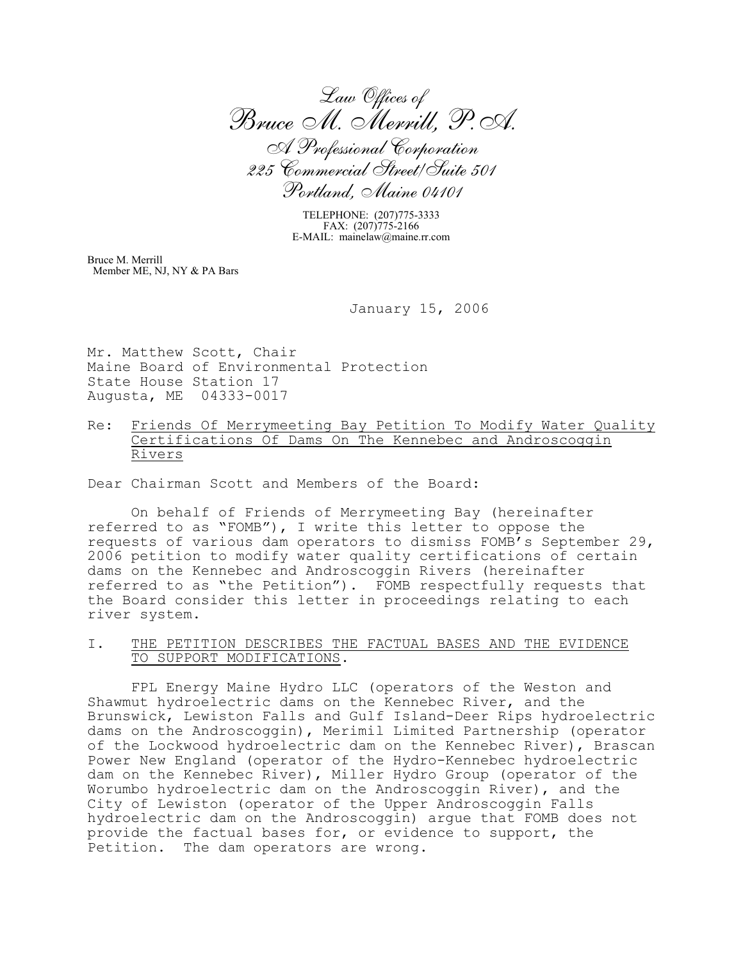*Law Offices of Bruce M. Merrill, P.A. A Professional Corporation 225 Commercial Street/Suite 501 Portland, Maine 04101*

TELEPHONE: (207)775-3333 FAX: (207)775-2166 E-MAIL: mainelaw@maine.rr.com

Bruce M. Merrill Member ME, NJ, NY & PA Bars

January 15, 2006

Mr. Matthew Scott, Chair Maine Board of Environmental Protection State House Station 17 Augusta, ME 04333-0017

Re: Friends Of Merrymeeting Bay Petition To Modify Water Quality Certifications Of Dams On The Kennebec and Androscoggin Rivers

Dear Chairman Scott and Members of the Board:

On behalf of Friends of Merrymeeting Bay (hereinafter referred to as "FOMB"), I write this letter to oppose the requests of various dam operators to dismiss FOMB's September 29, 2006 petition to modify water quality certifications of certain dams on the Kennebec and Androscoggin Rivers (hereinafter referred to as "the Petition"). FOMB respectfully requests that the Board consider this letter in proceedings relating to each river system.

I. THE PETITION DESCRIBES THE FACTUAL BASES AND THE EVIDENCE TO SUPPORT MODIFICATIONS.

FPL Energy Maine Hydro LLC (operators of the Weston and Shawmut hydroelectric dams on the Kennebec River, and the Brunswick, Lewiston Falls and Gulf Island-Deer Rips hydroelectric dams on the Androscoggin), Merimil Limited Partnership (operator of the Lockwood hydroelectric dam on the Kennebec River), Brascan Power New England (operator of the Hydro-Kennebec hydroelectric dam on the Kennebec River), Miller Hydro Group (operator of the Worumbo hydroelectric dam on the Androscoggin River), and the City of Lewiston (operator of the Upper Androscoggin Falls hydroelectric dam on the Androscoggin) argue that FOMB does not provide the factual bases for, or evidence to support, the Petition. The dam operators are wrong.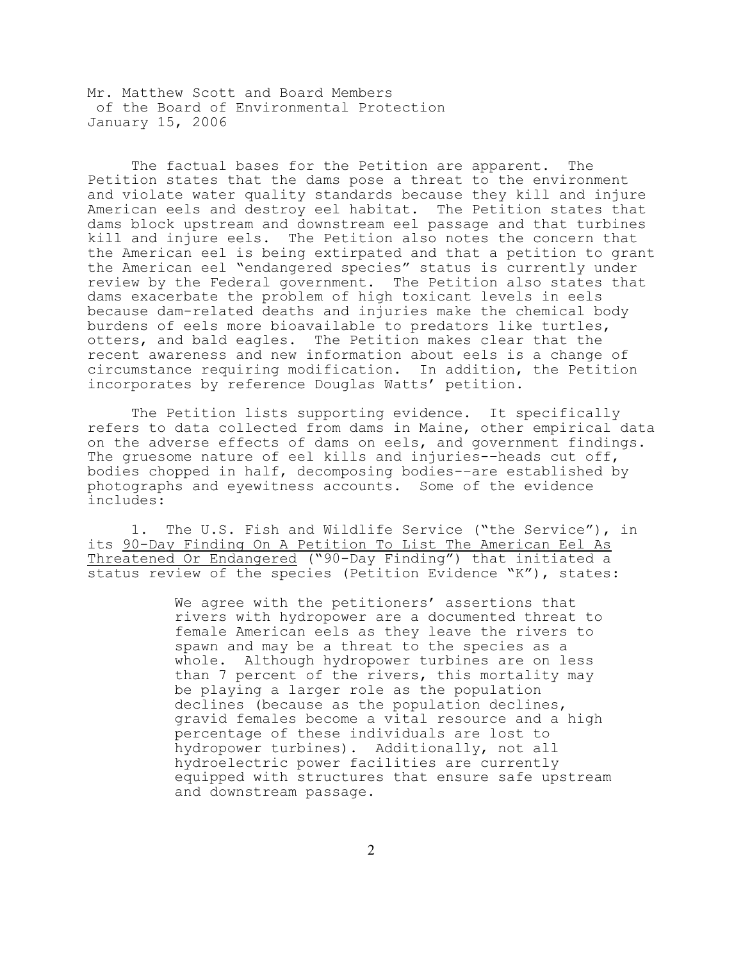The factual bases for the Petition are apparent. The Petition states that the dams pose a threat to the environment and violate water quality standards because they kill and injure American eels and destroy eel habitat. The Petition states that dams block upstream and downstream eel passage and that turbines kill and injure eels. The Petition also notes the concern that the American eel is being extirpated and that a petition to grant the American eel "endangered species" status is currently under review by the Federal government. The Petition also states that dams exacerbate the problem of high toxicant levels in eels because dam-related deaths and injuries make the chemical body burdens of eels more bioavailable to predators like turtles, otters, and bald eagles. The Petition makes clear that the recent awareness and new information about eels is a change of circumstance requiring modification. In addition, the Petition incorporates by reference Douglas Watts' petition.

The Petition lists supporting evidence. It specifically refers to data collected from dams in Maine, other empirical data on the adverse effects of dams on eels, and government findings. The gruesome nature of eel kills and injuries-–heads cut off, bodies chopped in half, decomposing bodies-–are established by photographs and eyewitness accounts. Some of the evidence includes:

1. The U.S. Fish and Wildlife Service ("the Service"), in its 90-Day Finding On A Petition To List The American Eel As Threatened Or Endangered ("90-Day Finding") that initiated a status review of the species (Petition Evidence "K"), states:

> We agree with the petitioners' assertions that rivers with hydropower are a documented threat to female American eels as they leave the rivers to spawn and may be a threat to the species as a whole. Although hydropower turbines are on less than 7 percent of the rivers, this mortality may be playing a larger role as the population declines (because as the population declines, gravid females become a vital resource and a high percentage of these individuals are lost to hydropower turbines). Additionally, not all hydroelectric power facilities are currently equipped with structures that ensure safe upstream and downstream passage.

> > 2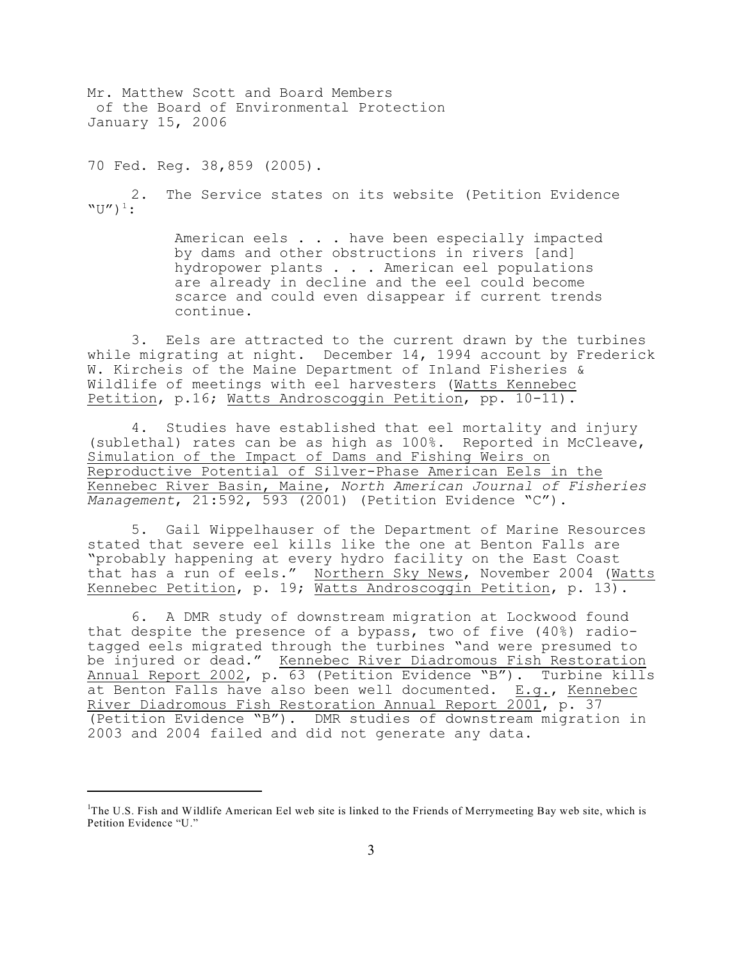70 Fed. Reg. 38,859 (2005).

2. The Service states on its website (Petition Evidence  $"U"$ )<sup>1</sup>:

> American eels . . . have been especially impacted by dams and other obstructions in rivers [and] hydropower plants . . . American eel populations are already in decline and the eel could become scarce and could even disappear if current trends continue.

3. Eels are attracted to the current drawn by the turbines while migrating at night. December 14, 1994 account by Frederick W. Kircheis of the Maine Department of Inland Fisheries & Wildlife of meetings with eel harvesters (Watts Kennebec Petition, p.16; Watts Androscoggin Petition, pp. 10-11).

4. Studies have established that eel mortality and injury (sublethal) rates can be as high as 100%. Reported in McCleave, Simulation of the Impact of Dams and Fishing Weirs on Reproductive Potential of Silver-Phase American Eels in the Kennebec River Basin, Maine, *North American Journal of Fisheries Management*, 21:592, 593 (2001) (Petition Evidence "C").

5. Gail Wippelhauser of the Department of Marine Resources stated that severe eel kills like the one at Benton Falls are "probably happening at every hydro facility on the East Coast that has a run of eels." Northern Sky News, November 2004 (Watts Kennebec Petition, p. 19; Watts Androscoggin Petition, p. 13).

6. A DMR study of downstream migration at Lockwood found that despite the presence of a bypass, two of five (40%) radiotagged eels migrated through the turbines "and were presumed to be injured or dead." Kennebec River Diadromous Fish Restoration Annual Report 2002, p. 63 (Petition Evidence "B"). Turbine kills at Benton Falls have also been well documented. E.g., Kennebec River Diadromous Fish Restoration Annual Report 2001, p. 37 (Petition Evidence "B"). DMR studies of downstream migration in 2003 and 2004 failed and did not generate any data.

 $T$ The U.S. Fish and Wildlife American Eel web site is linked to the Friends of Merrymeeting Bay web site, which is Petition Evidence "U."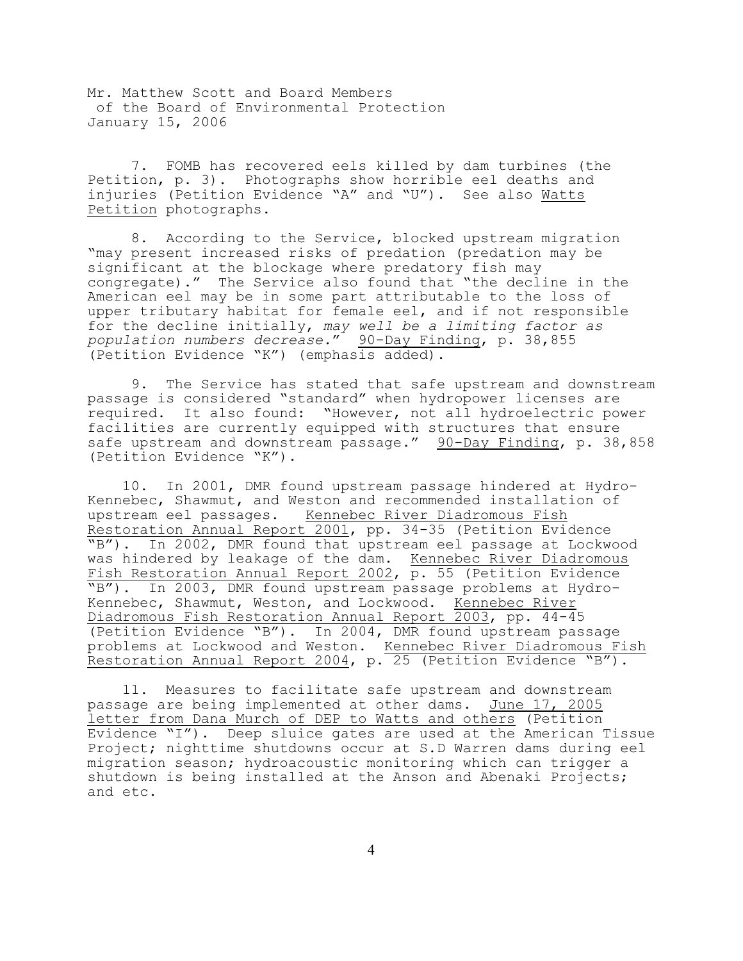7. FOMB has recovered eels killed by dam turbines (the Petition, p. 3). Photographs show horrible eel deaths and injuries (Petition Evidence "A" and "U"). See also Watts Petition photographs.

8. According to the Service, blocked upstream migration "may present increased risks of predation (predation may be significant at the blockage where predatory fish may congregate)." The Service also found that "the decline in the American eel may be in some part attributable to the loss of upper tributary habitat for female eel, and if not responsible for the decline initially, *may well be a limiting factor as population numbers decrease.*" 90-Day Finding, p. 38,855 (Petition Evidence "K") (emphasis added).

9. The Service has stated that safe upstream and downstream passage is considered "standard" when hydropower licenses are required. It also found: "However, not all hydroelectric power facilities are currently equipped with structures that ensure safe upstream and downstream passage." 90-Day Finding, p. 38,858 (Petition Evidence "K").

 10. In 2001, DMR found upstream passage hindered at Hydro-Kennebec, Shawmut, and Weston and recommended installation of upstream eel passages. Kennebec River Diadromous Fish Restoration Annual Report 2001, pp. 34-35 (Petition Evidence "B"). In 2002, DMR found that upstream eel passage at Lockwood was hindered by leakage of the dam. Kennebec River Diadromous Fish Restoration Annual Report 2002, p. 55 (Petition Evidence "B"). In 2003, DMR found upstream passage problems at Hydro-Kennebec, Shawmut, Weston, and Lockwood. Kennebec River Diadromous Fish Restoration Annual Report 2003, pp. 44-45 (Petition Evidence "B"). In 2004, DMR found upstream passage problems at Lockwood and Weston. Kennebec River Diadromous Fish Restoration Annual Report 2004, p. 25 (Petition Evidence "B").

 11. Measures to facilitate safe upstream and downstream passage are being implemented at other dams. June 17, 2005 letter from Dana Murch of DEP to Watts and others (Petition Evidence "I"). Deep sluice gates are used at the American Tissue Project; nighttime shutdowns occur at S.D Warren dams during eel migration season; hydroacoustic monitoring which can trigger a shutdown is being installed at the Anson and Abenaki Projects; and etc.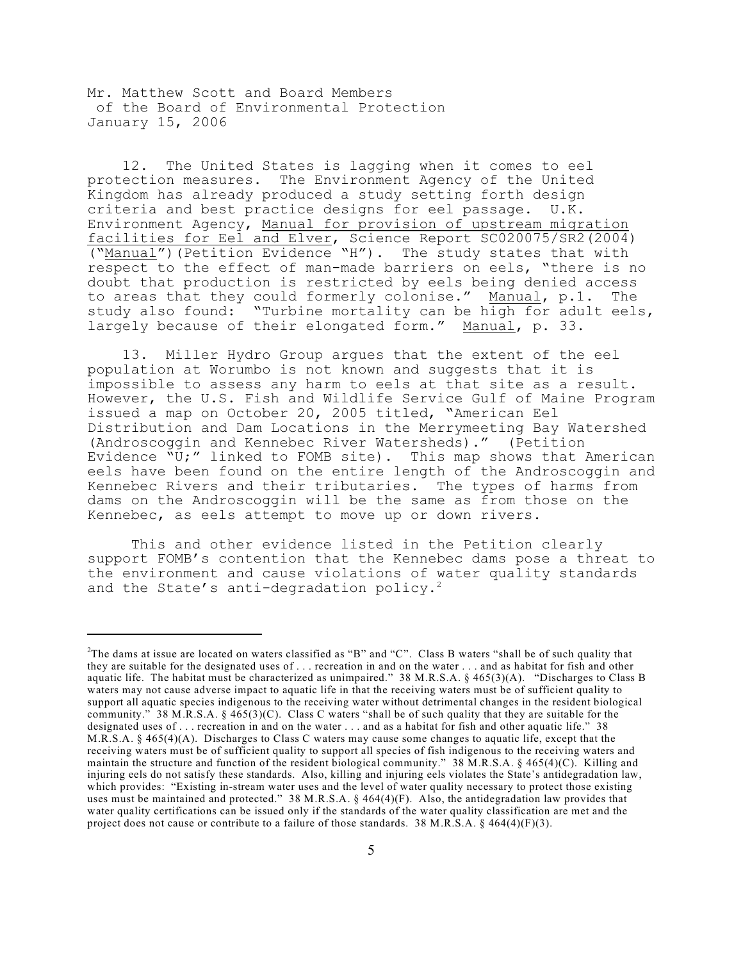12. The United States is lagging when it comes to eel protection measures. The Environment Agency of the United Kingdom has already produced a study setting forth design criteria and best practice designs for eel passage. U.K. Environment Agency, Manual for provision of upstream migration facilities for Eel and Elver, Science Report SC020075/SR2(2004) ("Manual")(Petition Evidence "H"). The study states that with respect to the effect of man-made barriers on eels, "there is no doubt that production is restricted by eels being denied access to areas that they could formerly colonise." Manual, p.1. The study also found: "Turbine mortality can be high for adult eels, largely because of their elongated form." Manual, p. 33.

 13. Miller Hydro Group argues that the extent of the eel population at Worumbo is not known and suggests that it is impossible to assess any harm to eels at that site as a result. However, the U.S. Fish and Wildlife Service Gulf of Maine Program issued a map on October 20, 2005 titled, "American Eel Distribution and Dam Locations in the Merrymeeting Bay Watershed (Androscoggin and Kennebec River Watersheds)." (Petition Evidence "U;" linked to FOMB site). This map shows that American eels have been found on the entire length of the Androscoggin and Kennebec Rivers and their tributaries. The types of harms from dams on the Androscoggin will be the same as from those on the Kennebec, as eels attempt to move up or down rivers.

This and other evidence listed in the Petition clearly support FOMB's contention that the Kennebec dams pose a threat to the environment and cause violations of water quality standards and the State's anti-degradation policy.<sup>2</sup>

<sup>&</sup>lt;sup>2</sup>The dams at issue are located on waters classified as "B" and "C". Class B waters "shall be of such quality that they are suitable for the designated uses of . . . recreation in and on the water . . . and as habitat for fish and other aquatic life. The habitat must be characterized as unimpaired." 38 M.R.S.A. § 465(3)(A). "Discharges to Class B waters may not cause adverse impact to aquatic life in that the receiving waters must be of sufficient quality to support all aquatic species indigenous to the receiving water without detrimental changes in the resident biological community." 38 M.R.S.A.  $\S$  465(3)(C). Class C waters "shall be of such quality that they are suitable for the designated uses of . . . recreation in and on the water . . . and as a habitat for fish and other aquatic life." 38 M.R.S.A. § 465(4)(A). Discharges to Class C waters may cause some changes to aquatic life, except that the receiving waters must be of sufficient quality to support all species of fish indigenous to the receiving waters and maintain the structure and function of the resident biological community." 38 M.R.S.A. § 465(4)(C). Killing and injuring eels do not satisfy these standards. Also, killing and injuring eels violates the State's antidegradation law, which provides: "Existing in-stream water uses and the level of water quality necessary to protect those existing uses must be maintained and protected." 38 M.R.S.A. § 464(4)(F). Also, the antidegradation law provides that water quality certifications can be issued only if the standards of the water quality classification are met and the project does not cause or contribute to a failure of those standards. 38 M.R.S.A. § 464(4)(F)(3).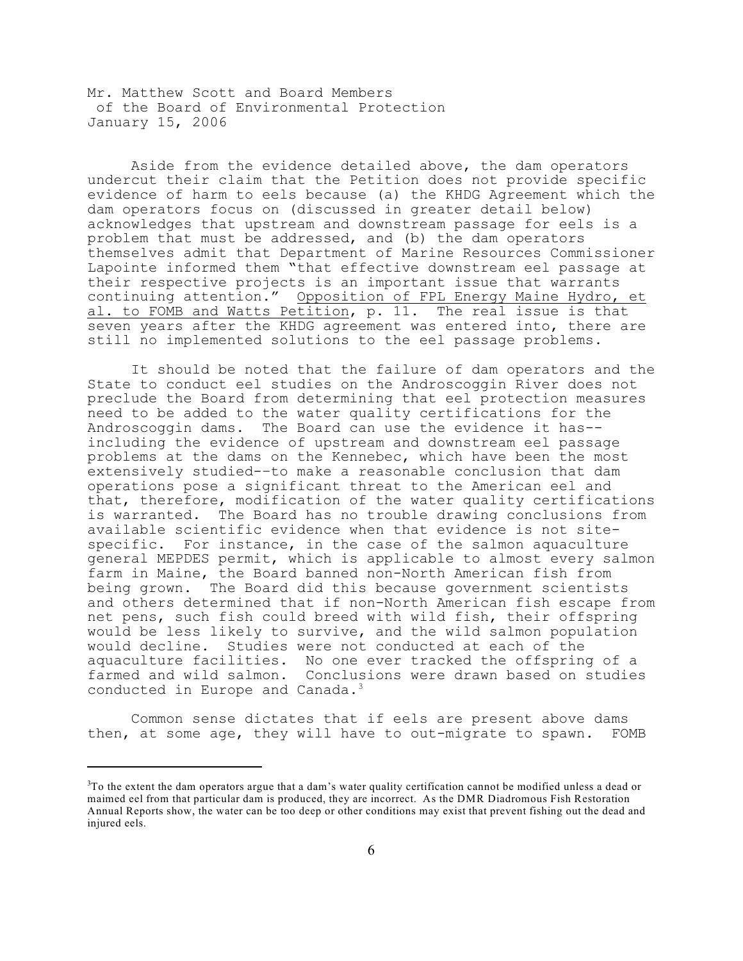Aside from the evidence detailed above, the dam operators undercut their claim that the Petition does not provide specific evidence of harm to eels because (a) the KHDG Agreement which the dam operators focus on (discussed in greater detail below) acknowledges that upstream and downstream passage for eels is a problem that must be addressed, and (b) the dam operators themselves admit that Department of Marine Resources Commissioner Lapointe informed them "that effective downstream eel passage at their respective projects is an important issue that warrants continuing attention." Opposition of FPL Energy Maine Hydro, et al. to FOMB and Watts Petition, p. 11. The real issue is that seven years after the KHDG agreement was entered into, there are still no implemented solutions to the eel passage problems.

It should be noted that the failure of dam operators and the State to conduct eel studies on the Androscoggin River does not preclude the Board from determining that eel protection measures need to be added to the water quality certifications for the Androscoggin dams. The Board can use the evidence it has- including the evidence of upstream and downstream eel passage problems at the dams on the Kennebec, which have been the most extensively studied-–to make a reasonable conclusion that dam operations pose a significant threat to the American eel and that, therefore, modification of the water quality certifications is warranted. The Board has no trouble drawing conclusions from available scientific evidence when that evidence is not sitespecific. For instance, in the case of the salmon aquaculture general MEPDES permit, which is applicable to almost every salmon farm in Maine, the Board banned non-North American fish from being grown. The Board did this because government scientists and others determined that if non-North American fish escape from net pens, such fish could breed with wild fish, their offspring would be less likely to survive, and the wild salmon population would decline. Studies were not conducted at each of the aquaculture facilities. No one ever tracked the offspring of a farmed and wild salmon. Conclusions were drawn based on studies conducted in Europe and Canada.<sup>3</sup>

Common sense dictates that if eels are present above dams then, at some age, they will have to out-migrate to spawn. FOMB

 $3$ To the extent the dam operators argue that a dam's water quality certification cannot be modified unless a dead or maimed eel from that particular dam is produced, they are incorrect. As the DMR Diadromous Fish Restoration Annual Reports show, the water can be too deep or other conditions may exist that prevent fishing out the dead and injured eels.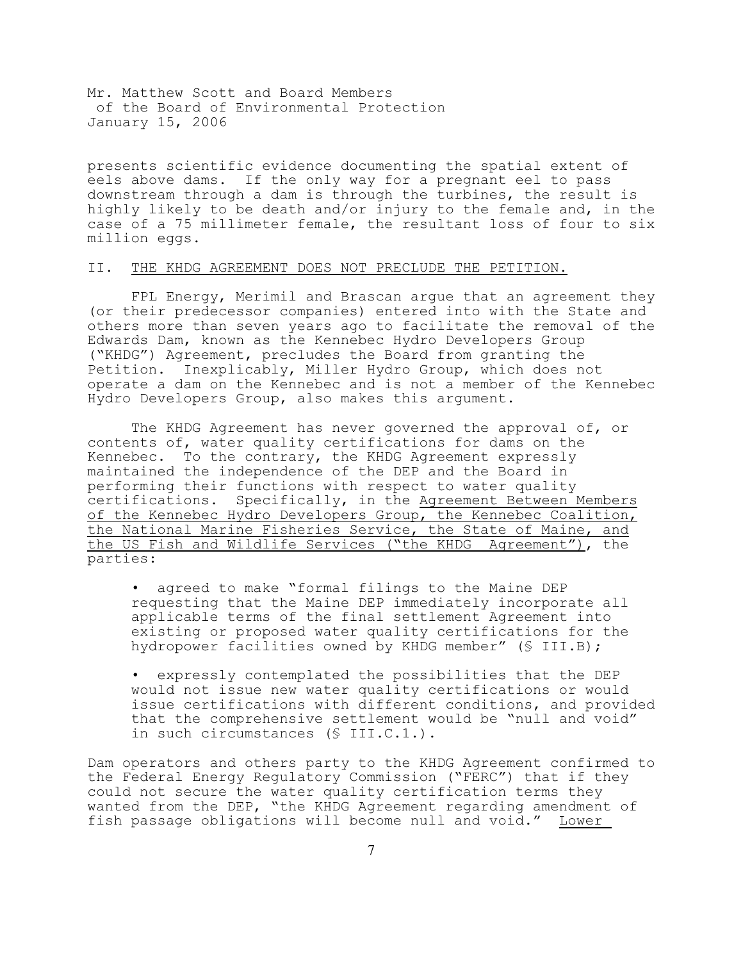presents scientific evidence documenting the spatial extent of eels above dams. If the only way for a pregnant eel to pass downstream through a dam is through the turbines, the result is highly likely to be death and/or injury to the female and, in the case of a 75 millimeter female, the resultant loss of four to six million eggs.

## II. THE KHDG AGREEMENT DOES NOT PRECLUDE THE PETITION.

FPL Energy, Merimil and Brascan argue that an agreement they (or their predecessor companies) entered into with the State and others more than seven years ago to facilitate the removal of the Edwards Dam, known as the Kennebec Hydro Developers Group ("KHDG") Agreement, precludes the Board from granting the Petition. Inexplicably, Miller Hydro Group, which does not operate a dam on the Kennebec and is not a member of the Kennebec Hydro Developers Group, also makes this argument.

The KHDG Agreement has never governed the approval of, or contents of, water quality certifications for dams on the Kennebec. To the contrary, the KHDG Agreement expressly maintained the independence of the DEP and the Board in performing their functions with respect to water quality certifications. Specifically, in the Agreement Between Members of the Kennebec Hydro Developers Group, the Kennebec Coalition, the National Marine Fisheries Service, the State of Maine, and the US Fish and Wildlife Services ("the KHDG Agreement"), the parties:

• agreed to make "formal filings to the Maine DEP requesting that the Maine DEP immediately incorporate all applicable terms of the final settlement Agreement into existing or proposed water quality certifications for the hydropower facilities owned by KHDG member" (§ III.B);

• expressly contemplated the possibilities that the DEP would not issue new water quality certifications or would issue certifications with different conditions, and provided that the comprehensive settlement would be "null and void" in such circumstances (§ III.C.1.).

Dam operators and others party to the KHDG Agreement confirmed to the Federal Energy Regulatory Commission ("FERC") that if they could not secure the water quality certification terms they wanted from the DEP, "the KHDG Agreement regarding amendment of fish passage obligations will become null and void." Lower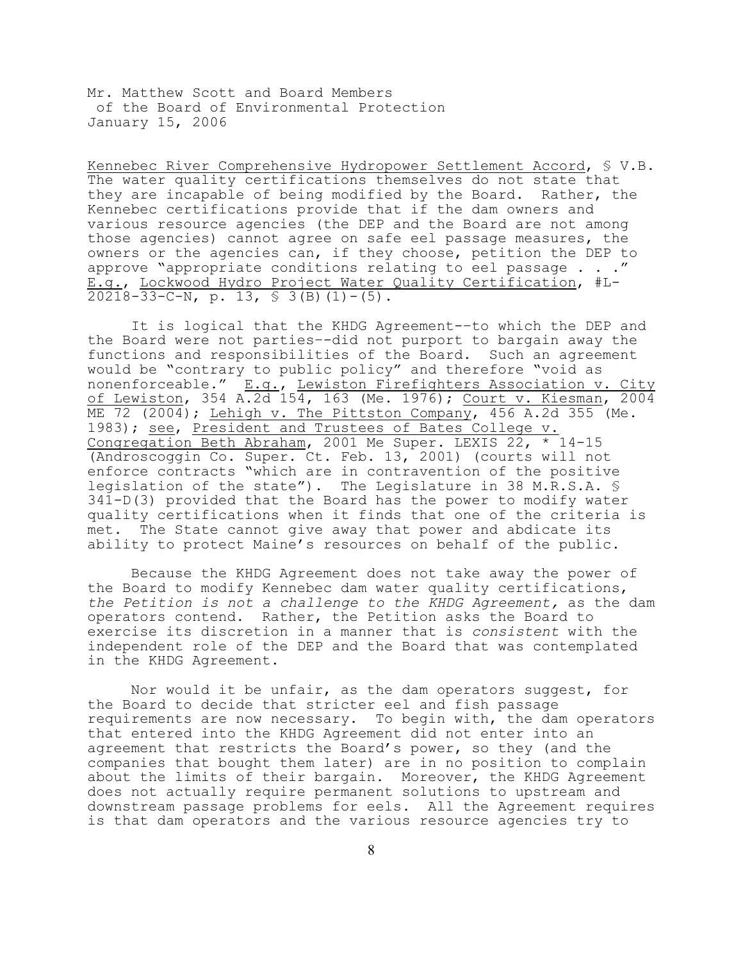Kennebec River Comprehensive Hydropower Settlement Accord, § V.B. The water quality certifications themselves do not state that they are incapable of being modified by the Board. Rather, the Kennebec certifications provide that if the dam owners and various resource agencies (the DEP and the Board are not among those agencies) cannot agree on safe eel passage measures, the owners or the agencies can, if they choose, petition the DEP to approve "appropriate conditions relating to eel passage . . ." E.g., Lockwood Hydro Project Water Quality Certification, #L-20218-33-C-N, p. 13,  $\frac{1}{5}$  3(B)(1)-(5).

It is logical that the KHDG Agreement-–to which the DEP and the Board were not parties–-did not purport to bargain away the functions and responsibilities of the Board. Such an agreement would be "contrary to public policy" and therefore "void as nonenforceable." E.g., Lewiston Firefighters Association v. City of Lewiston, 354 A.2d 154, 163 (Me. 1976); Court v. Kiesman, 2004 ME 72 (2004); Lehigh v. The Pittston Company, 456 A.2d 355 (Me. 1983); see, President and Trustees of Bates College v. Congregation Beth Abraham, 2001 Me Super. LEXIS 22, \* 14-15 (Androscoggin Co. Super. Ct. Feb. 13, 2001) (courts will not enforce contracts "which are in contravention of the positive legislation of the state"). The Legislature in 38 M.R.S.A. § 341-D(3) provided that the Board has the power to modify water quality certifications when it finds that one of the criteria is met. The State cannot give away that power and abdicate its ability to protect Maine's resources on behalf of the public.

Because the KHDG Agreement does not take away the power of the Board to modify Kennebec dam water quality certifications, *the Petition is not a challenge to the KHDG Agreement,* as the dam operators contend. Rather, the Petition asks the Board to exercise its discretion in a manner that is *consistent* with the independent role of the DEP and the Board that was contemplated in the KHDG Agreement.

Nor would it be unfair, as the dam operators suggest, for the Board to decide that stricter eel and fish passage requirements are now necessary. To begin with, the dam operators that entered into the KHDG Agreement did not enter into an agreement that restricts the Board's power, so they (and the companies that bought them later) are in no position to complain about the limits of their bargain. Moreover, the KHDG Agreement does not actually require permanent solutions to upstream and downstream passage problems for eels. All the Agreement requires is that dam operators and the various resource agencies try to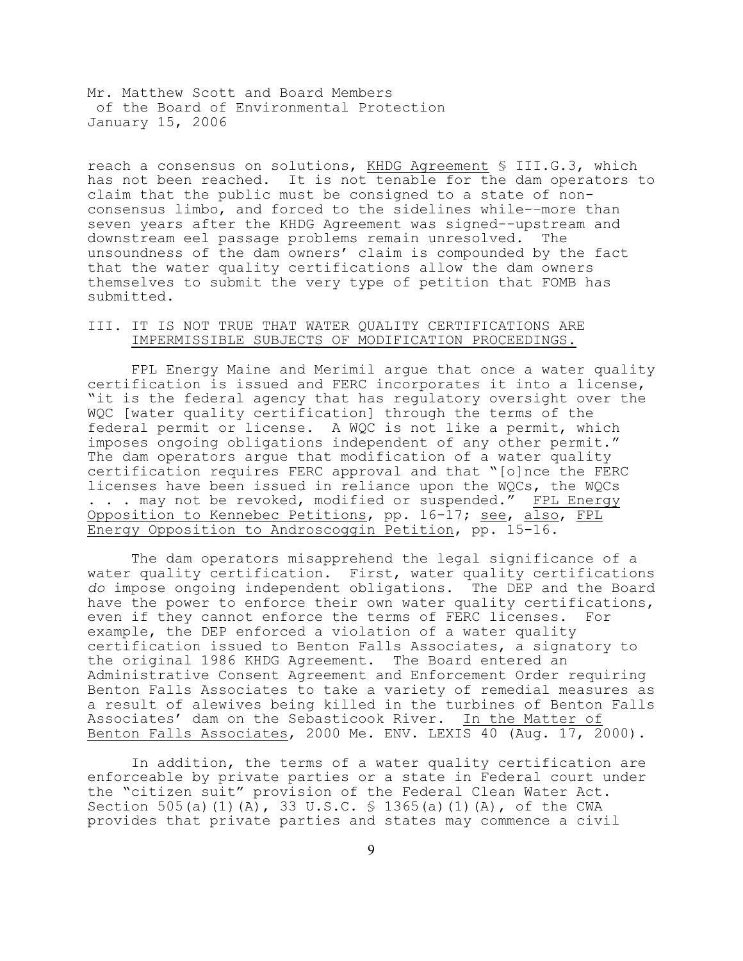reach a consensus on solutions, KHDG Agreement § III.G.3, which has not been reached. It is not tenable for the dam operators to claim that the public must be consigned to a state of nonconsensus limbo, and forced to the sidelines while-–more than seven years after the KHDG Agreement was signed--upstream and downstream eel passage problems remain unresolved. The unsoundness of the dam owners' claim is compounded by the fact that the water quality certifications allow the dam owners themselves to submit the very type of petition that FOMB has submitted.

## III. IT IS NOT TRUE THAT WATER QUALITY CERTIFICATIONS ARE IMPERMISSIBLE SUBJECTS OF MODIFICATION PROCEEDINGS.

FPL Energy Maine and Merimil argue that once a water quality certification is issued and FERC incorporates it into a license, "it is the federal agency that has regulatory oversight over the WQC [water quality certification] through the terms of the federal permit or license. A WQC is not like a permit, which imposes ongoing obligations independent of any other permit." The dam operators argue that modification of a water quality certification requires FERC approval and that "[o]nce the FERC licenses have been issued in reliance upon the WQCs, the WQCs . . . may not be revoked, modified or suspended." FPL Energy Opposition to Kennebec Petitions, pp. 16-17; see, also, FPL Energy Opposition to Androscoggin Petition, pp. 15-16.

The dam operators misapprehend the legal significance of a water quality certification. First, water quality certifications *do* impose ongoing independent obligations. The DEP and the Board have the power to enforce their own water quality certifications, even if they cannot enforce the terms of FERC licenses. For example, the DEP enforced a violation of a water quality certification issued to Benton Falls Associates, a signatory to the original 1986 KHDG Agreement. The Board entered an Administrative Consent Agreement and Enforcement Order requiring Benton Falls Associates to take a variety of remedial measures as a result of alewives being killed in the turbines of Benton Falls Associates' dam on the Sebasticook River. In the Matter of Benton Falls Associates, 2000 Me. ENV. LEXIS 40 (Aug. 17, 2000).

In addition, the terms of a water quality certification are enforceable by private parties or a state in Federal court under the "citizen suit" provision of the Federal Clean Water Act. Section 505(a)(1)(A), 33 U.S.C. § 1365(a)(1)(A), of the CWA provides that private parties and states may commence a civil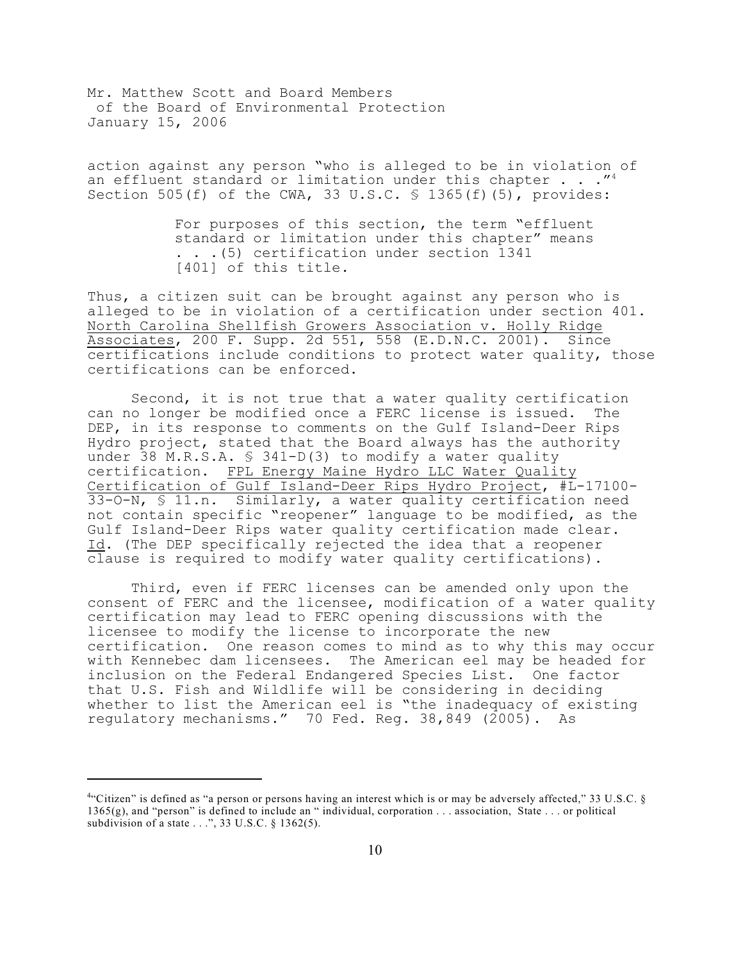action against any person "who is alleged to be in violation of an effluent standard or limitation under this chapter  $\ldots$ ."<sup>4</sup> Section 505(f) of the CWA, 33 U.S.C.  $\frac{1}{5}$  1365(f)(5), provides:

> For purposes of this section, the term "effluent standard or limitation under this chapter" means . . .(5) certification under section 1341 [401] of this title.

Thus, a citizen suit can be brought against any person who is alleged to be in violation of a certification under section 401. North Carolina Shellfish Growers Association v. Holly Ridge Associates, 200 F. Supp. 2d 551, 558 (E.D.N.C. 2001). Since certifications include conditions to protect water quality, those certifications can be enforced.

Second, it is not true that a water quality certification can no longer be modified once a FERC license is issued. The DEP, in its response to comments on the Gulf Island-Deer Rips Hydro project, stated that the Board always has the authority under 38 M.R.S.A.  $\frac{1}{2}$  341-D(3) to modify a water quality certification. FPL Energy Maine Hydro LLC Water Quality Certification of Gulf Island-Deer Rips Hydro Project, #L-17100- 33-O-N, § 11.n. Similarly, a water quality certification need not contain specific "reopener" language to be modified, as the Gulf Island-Deer Rips water quality certification made clear. Id. (The DEP specifically rejected the idea that a reopener clause is required to modify water quality certifications).

Third, even if FERC licenses can be amended only upon the consent of FERC and the licensee, modification of a water quality certification may lead to FERC opening discussions with the licensee to modify the license to incorporate the new certification. One reason comes to mind as to why this may occur with Kennebec dam licensees. The American eel may be headed for inclusion on the Federal Endangered Species List. One factor that U.S. Fish and Wildlife will be considering in deciding whether to list the American eel is "the inadequacy of existing regulatory mechanisms." 70 Fed. Reg. 38,849 (2005). As

<sup>&</sup>quot;Citizen" is defined as "a person or persons having an interest which is or may be adversely affected," 33 U.S.C.  $\S$ 1365(g), and "person" is defined to include an " individual, corporation . . . association, State . . . or political subdivision of a state  $\dots$ ", 33 U.S.C. § 1362(5).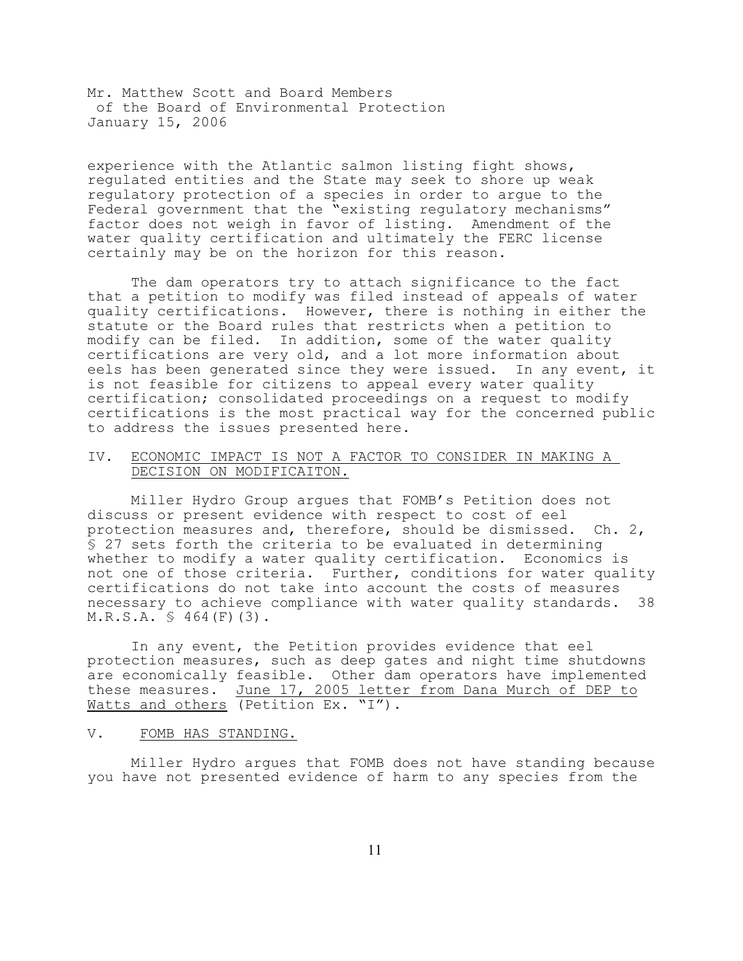experience with the Atlantic salmon listing fight shows, regulated entities and the State may seek to shore up weak regulatory protection of a species in order to argue to the Federal government that the "existing regulatory mechanisms" factor does not weigh in favor of listing. Amendment of the water quality certification and ultimately the FERC license certainly may be on the horizon for this reason.

The dam operators try to attach significance to the fact that a petition to modify was filed instead of appeals of water quality certifications. However, there is nothing in either the statute or the Board rules that restricts when a petition to modify can be filed. In addition, some of the water quality certifications are very old, and a lot more information about eels has been generated since they were issued. In any event, it is not feasible for citizens to appeal every water quality certification; consolidated proceedings on a request to modify certifications is the most practical way for the concerned public to address the issues presented here.

## IV. ECONOMIC IMPACT IS NOT A FACTOR TO CONSIDER IN MAKING A DECISION ON MODIFICAITON.

Miller Hydro Group argues that FOMB's Petition does not discuss or present evidence with respect to cost of eel protection measures and, therefore, should be dismissed. Ch. 2, § 27 sets forth the criteria to be evaluated in determining whether to modify a water quality certification. Economics is not one of those criteria. Further, conditions for water quality certifications do not take into account the costs of measures necessary to achieve compliance with water quality standards. 38  $M.R.S.A. \$ 464(F) (3).$ 

In any event, the Petition provides evidence that eel protection measures, such as deep gates and night time shutdowns are economically feasible. Other dam operators have implemented these measures. June 17, 2005 letter from Dana Murch of DEP to Watts and others (Petition Ex. "I").

## V. FOMB HAS STANDING.

Miller Hydro argues that FOMB does not have standing because you have not presented evidence of harm to any species from the